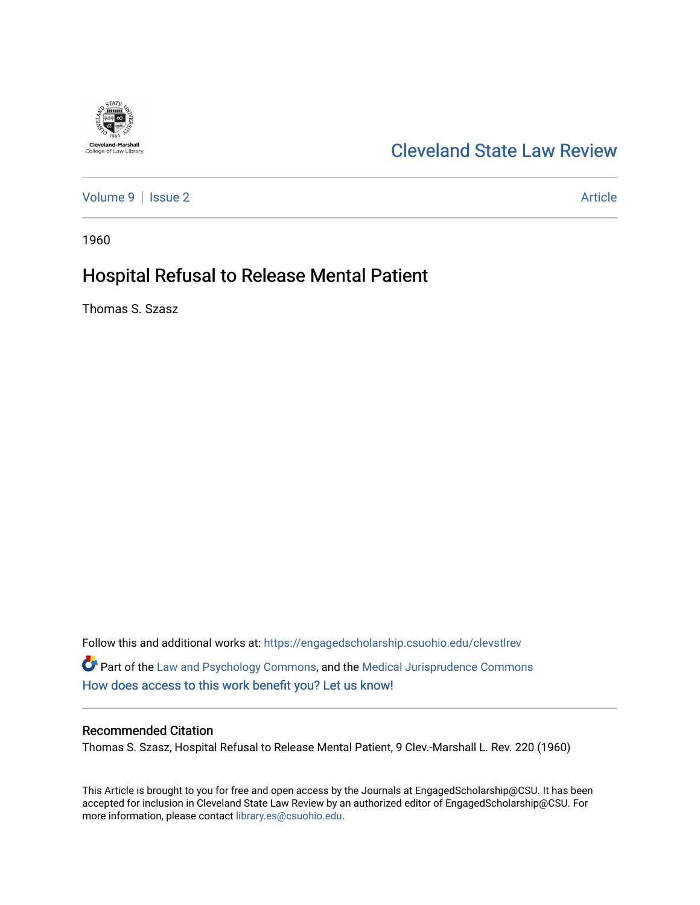

# [Cleveland State Law Review](https://engagedscholarship.csuohio.edu/clevstlrev)

[Volume 9](https://engagedscholarship.csuohio.edu/clevstlrev/vol9) | [Issue 2](https://engagedscholarship.csuohio.edu/clevstlrev/vol9/iss2) Article

1960

# Hospital Refusal to Release Mental Patient

Thomas S. Szasz

Follow this and additional works at: [https://engagedscholarship.csuohio.edu/clevstlrev](https://engagedscholarship.csuohio.edu/clevstlrev?utm_source=engagedscholarship.csuohio.edu%2Fclevstlrev%2Fvol9%2Fiss2%2F4&utm_medium=PDF&utm_campaign=PDFCoverPages) Part of the [Law and Psychology Commons,](http://network.bepress.com/hgg/discipline/870?utm_source=engagedscholarship.csuohio.edu%2Fclevstlrev%2Fvol9%2Fiss2%2F4&utm_medium=PDF&utm_campaign=PDFCoverPages) and the [Medical Jurisprudence Commons](http://network.bepress.com/hgg/discipline/860?utm_source=engagedscholarship.csuohio.edu%2Fclevstlrev%2Fvol9%2Fiss2%2F4&utm_medium=PDF&utm_campaign=PDFCoverPages)  [How does access to this work benefit you? Let us know!](http://library.csuohio.edu/engaged/)

### Recommended Citation

Thomas S. Szasz, Hospital Refusal to Release Mental Patient, 9 Clev.-Marshall L. Rev. 220 (1960)

This Article is brought to you for free and open access by the Journals at EngagedScholarship@CSU. It has been accepted for inclusion in Cleveland State Law Review by an authorized editor of EngagedScholarship@CSU. For more information, please contact [library.es@csuohio.edu](mailto:library.es@csuohio.edu).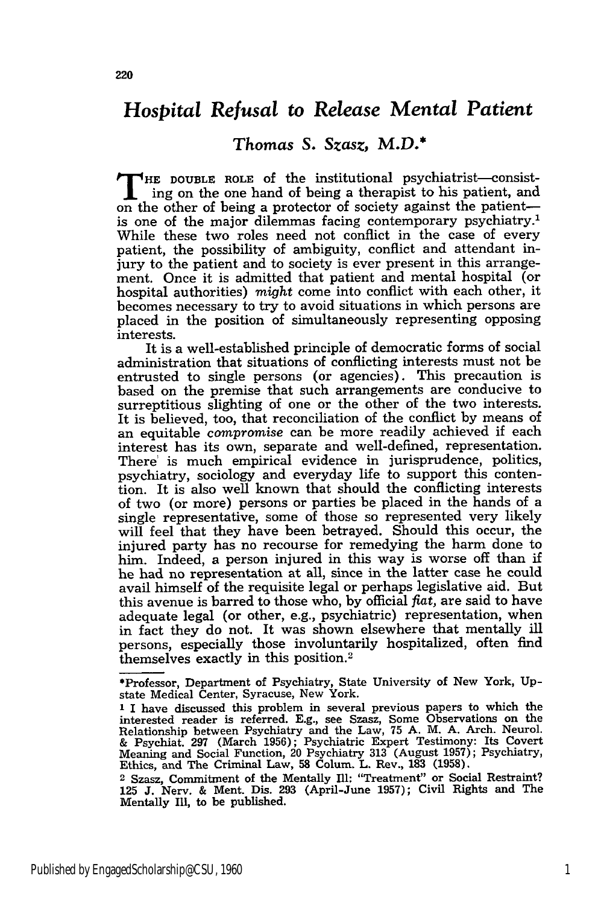### *Hospital Refusal to Release Mental Patient*

### *Thomas S.* Szasz, M.D.\*

**T HE DOUBLE ROLE** of the institutional psychiatrist-consisting on the one hand of being a therapist to his patient, and on the other of being a protector of society against the patientis one of the major dilemmas facing contemporary psychiatry.<sup>1</sup> While these two roles need not conflict in the case of every patient, the possibility of ambiguity, conflict and attendant injury to the patient and to society is ever present in this arrangement. Once it is admitted that patient and mental hospital (or hospital authorities) *might* come into conflict with each other, it becomes necessary to try to avoid situations in which persons are placed in the position of simultaneously representing opposing interests.

It is a well-established principle of democratic forms of social administration that situations of conflicting interests must not be entrusted to single persons (or agencies). This precaution is based on the premise that such arrangements are conducive to surreptitious slighting of one or the other of the two interests. It is believed, too, that reconciliation of the conflict by means of an equitable *compromise* can be more readily achieved if each interest has its own, separate and well-defined, representation. There' is much empirical evidence in jurisprudence, politics, psychiatry, sociology and everyday life to support this contention. It is also well known that should the conflicting interests of two (or more) persons or parties be placed in the hands of a single representative, some of those so represented very likely will feel that they have been betrayed. Should this occur, the injured party has no recourse for remedying the harm done to him. Indeed, a person injured in this way is worse off than if he had no representation at all, since in the latter case he could avail himself of the requisite legal or perhaps legislative aid. But this avenue is barred to those who, by official *flat,* are said to have adequate legal (or other, e.g., psychiatric) representation, when in fact they do not. It was shown elsewhere that mentally ill persons, especially those involuntarily hospitalized, often find themselves exactly in this position.2

<sup>\*</sup>Professor, Department of Psychiatry, State University of New York, Upstate Medical Center, Syracuse, New York.

**<sup>1</sup>** I have discussed this problem in several previous papers to which the interested reader is referred. E.g., see Szasz, Some Observations on the Relationship between Psychiatry and the Law, 75 A. M. A. Arch. Neurol. According 2007 (March 1956); Psychiatric Expert Testimony: Its Cover<br>Meaning and Social Function, 20 Psychiatry 313 (August 1957); Psychiatry<br>Ethics, and The Criminal Law, 58 Colum. L. Rev., 183 (1958).

<sup>2</sup> Szasz, Commitment of the Mentally Ill: "Treatment" or Social Restraint? 125 J. Nerv. & Ment. Dis. 293 (April-June 1957); Civil Rights and The Mentally Ill, to be published.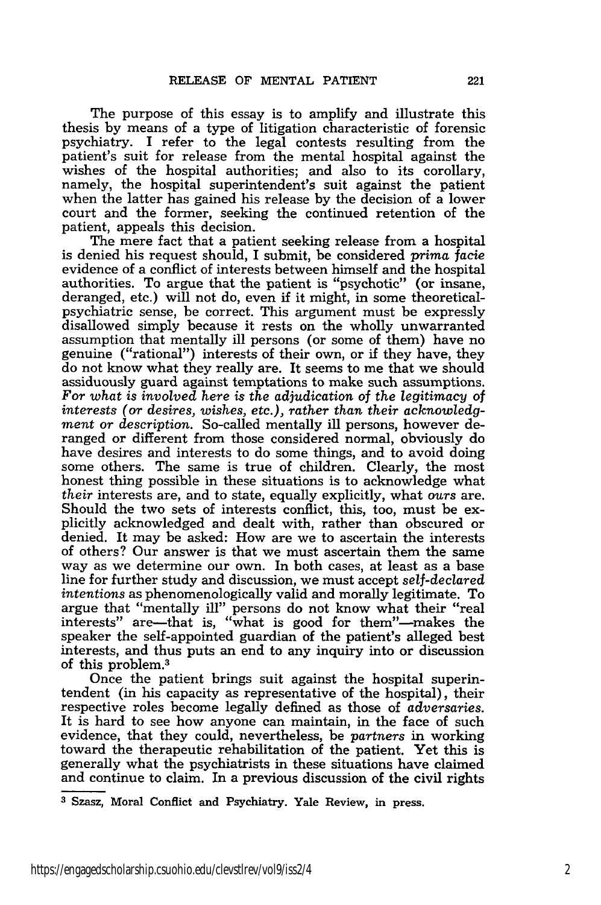The purpose of this essay is to amplify and illustrate this thesis by means of a type of litigation characteristic of forensic psychiatry. I refer to the legal contests resulting from the patient's suit for release from the mental hospital against the wishes of the hospital authorities; and also to its corollary. namely, the hospital superintendent's suit against the patient when the latter has gained his release by the decision of a lower court and the former, seeking the continued retention of the

patient, appeals this decision.<br>The mere fact that a patient seeking release from a hospital is denied his request should, I submit, be considered *prima facie* evidence of a conflict of interests between himself and the hospital authorities. To argue that the patient is "psychotic" (or insane, deranged, etc.) will not do, even if it might, in some theoreticalpsychiatric sense, be correct. This argument must be expressly disallowed simply because it rests on the wholly unwarranted assumption that mentally ill persons (or some of them) have no genuine ("rational") interests of their own, or if they have, they do not know what they really are. It seems to me that we should assiduously guard against temptations to make such assumptions. *For what is involved here is the adjudication of the legitimacy* of *interests (or desires, wishes, etc.), rather than their acknowledgment or description.* So-called mentally ill persons, however deranged or different from those considered normal, obviously do have desires and interests to do some things, and to avoid doing some others. The same is true of children. Clearly, the most honest thing possible in these situations is to acknowledge what *their* interests are, and to state, equally explicitly, what *ours* are. Should the two sets of interests conflict, this, too, must be explicitly acknowledged and dealt with, rather than obscured or denied. It may be asked: How are we to ascertain the interests of others? Our answer is that we must ascertain them the same way as we determine our own. In both cases, at least as a base line for further study and discussion, we must accept *self-declared intentions* as phenomenologically valid and morally legitimate. To argue that "mentally ill" persons do not know what their "real interests" are-that is, "what is good for them"-makes the speaker the self-appointed guardian of the patient's alleged best interests, and thus puts an end to any inquiry into or discussion of this problem.<sup>3</sup>

Once the patient brings suit against the hospital superintendent (in his capacity as representative of the hospital), their respective roles become legally defined as those of *adversaries.* It is hard to see how anyone can maintain, in the face of such evidence, that they could, nevertheless, be *partners* in working toward the therapeutic rehabilitation of the patient. Yet this is generally what the psychiatrists in these situations have claimed and continue to claim. In a previous discussion of the civil rights

**<sup>3</sup>** Szasz, Moral Conflict and Psychiatry. Yale Review, in press.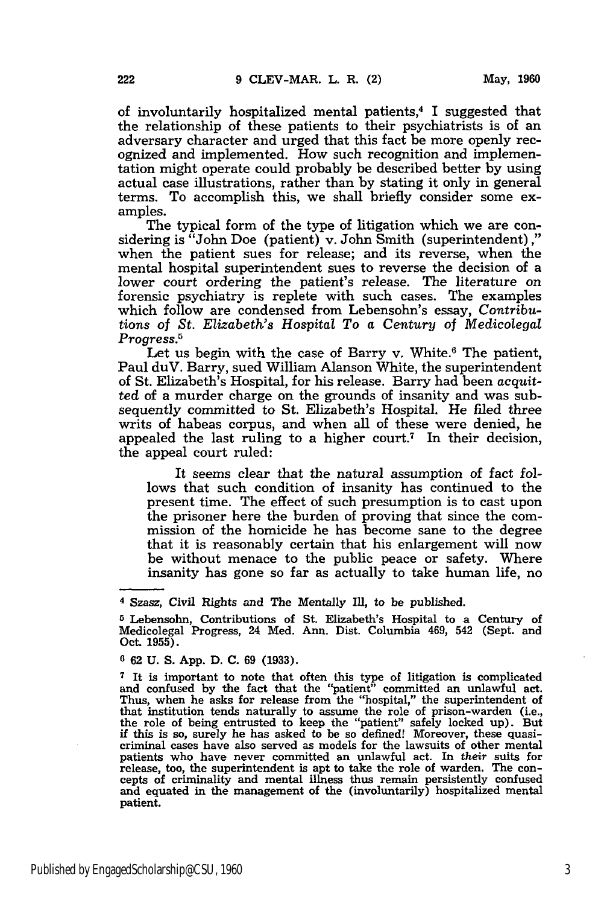of involuntarily hospitalized mental patients,4 I suggested that the relationship of these patients to their psychiatrists is of an adversary character and urged that this fact be more openly recognized and implemented. How such recognition and implementation might operate could probably be described better **by** using actual case illustrations, rather than **by** stating it only in general terms. To accomplish this, we shall briefly consider some examples.

The typical form of the type of litigation which we are considering is "John Doe (patient) v. John Smith (superintendent) ," when the patient sues for release; and its reverse, when the mental hospital superintendent sues to reverse the decision of a lower court ordering the patient's release. The literature on forensic psychiatry is replete with such cases. The examples which follow are condensed from Lebensohn's essay, *Contributions of St. Elizabeth's Hospital To a Century of Medicolegal Progress.5*

Let us begin with the case of Barry v. White.<sup>6</sup> The patient, Paul duV. Barry, sued William Alanson White, the superintendent of St. Elizabeth's Hospital, for his release. Barry had been *acquitted* of a murder charge on the grounds of insanity and was subsequently committed to St. Elizabeth's Hospital. He filed three writs of habeas corpus, and when all of these were denied, he appealed the last ruling to a higher court.<sup>7</sup> In their decision, the appeal court ruled:

It seems clear that the natural assumption of fact follows that such condition of insanity has continued to the present time. The effect of such presumption is to cast upon the prisoner here the burden of proving that since the commission of the homicide he has become sane to the degree that it is reasonably certain that his enlargement will now be without menace to the public peace or safety. Where insanity has gone so far as actually to take human life, no

**6 62 U. S. App. D. C. 69 (1933).**

**<sup>4</sup>** Szasz, Civil Rights and The Mentally Ill, to be published.

**<sup>5</sup>** Lebensohn, Contributions of St. Elizabeth's Hospital to a Century of Medicolegal Progress, 24 Med. Ann. Dist. Columbia 469, 542 (Sept. and Oct. **1955).**

**<sup>7</sup>**It is important to note that often this type of litigation is complicated and confused **by** the fact that the "patient" committed an unlawful act. Thus, when he asks for release from the "hospital," the superintendent of that institution tends naturally to assume the role of prison-warden (i.e., the role of being entrusted to keep the "patient" safely locked up). But **if** this is so, surely he has asked to be so defined! Moreover, these quasicriminal cases have also served as models for the lawsuits of other mental patients who have never committed an unlawful act. In *their* suits for release, too, the superintendent is apt to take the role of warden. The con- cepts of criminality and mental illness thus remain persistently confused and equated in the management of the (involuntarily) hospitalized mental patient.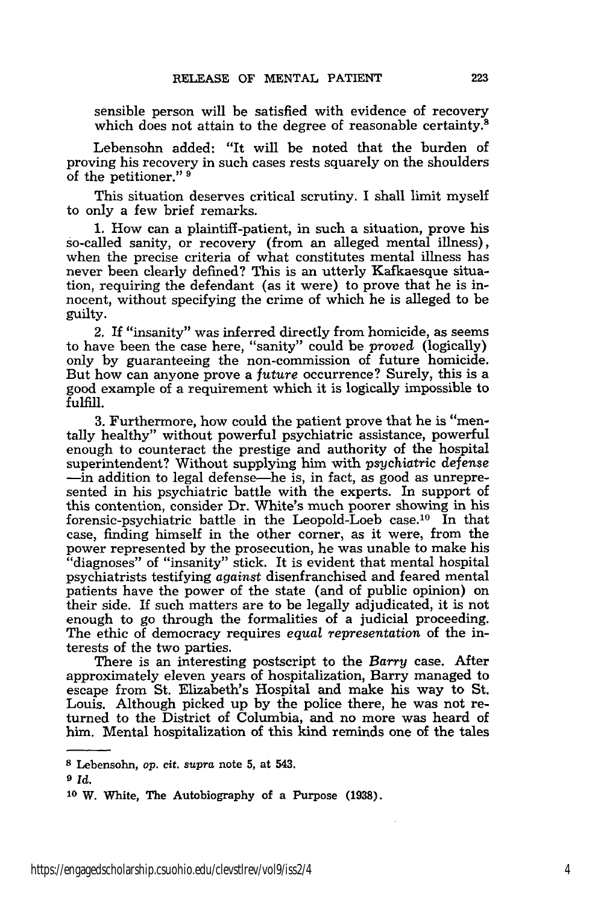sensible person will be satisfied with evidence of recovery which does not attain to the degree of reasonable certainty. $8$ 

Lebensohn added: "It will be noted that the burden of proving his recovery in such cases rests squarely on the shoulders of the petitioner."

This situation deserves critical scrutiny. I shall limit myself to only a few brief remarks.

1. How can a plaintiff-patient, in such a situation, prove his so-called sanity, or recovery (from an alleged mental illness), when the precise criteria of what constitutes mental illness has never been clearly defined? This is an utterly Kafkaesque situation, requiring the defendant (as it were) to prove that he is innocent, without specifying the crime of which he is alleged to be guilty.

2. If "insanity" was inferred directly from homicide, as seems to have been the case here, "sanity" could be proved (logically) only by guaranteeing the non-commission of future homicide. But how can anyone prove a *future* occurrence? Surely, this is a good example of a requirement which it is logically impossible to fulfill.

3. Furthermore, how could the patient prove that he is "mentally healthy" without powerful psychiatric assistance, powerful enough to counteract the prestige and authority of the hospital superintendent? Without supplying him with psychiatric *defense* -in addition to legal defense-he is, in fact, as good as unrepresented in his psychiatric battle with the experts. In support of this contention, consider Dr. White's much poorer showing in his forensic-psychiatric battle in the Leopold-Loeb case.<sup>10</sup> In that case, finding himself in the other corner, as it were, from the power represented by the prosecution, he was unable to make his "diagnoses" of "insanity" stick. It is evident that mental hospital psychiatrists testifying *against* disenfranchised and feared mental patients have the power of the state (and of public opinion) on their side. If such matters are to be legally adjudicated, it is not enough to go through the formalities of a judicial proceeding. The ethic of democracy requires *equal representation* of the interests of the two parties.

There is an interesting postscript to the *Barry* case. After approximately eleven years of hospitalization, Barry managed to escape from St. Elizabeth's Hospital and make his way to St. Louis. Although picked up by the police there, he was not returned to the District of Columbia, and no more was heard of him. Mental hospitalization of this kind reminds one of the tales

*9 Id.*

**s** Lebensohn, *op.* cit. *supra* note 5, at 543.

**<sup>10</sup> W.** White, The Autobiography of a Purpose **(1938).**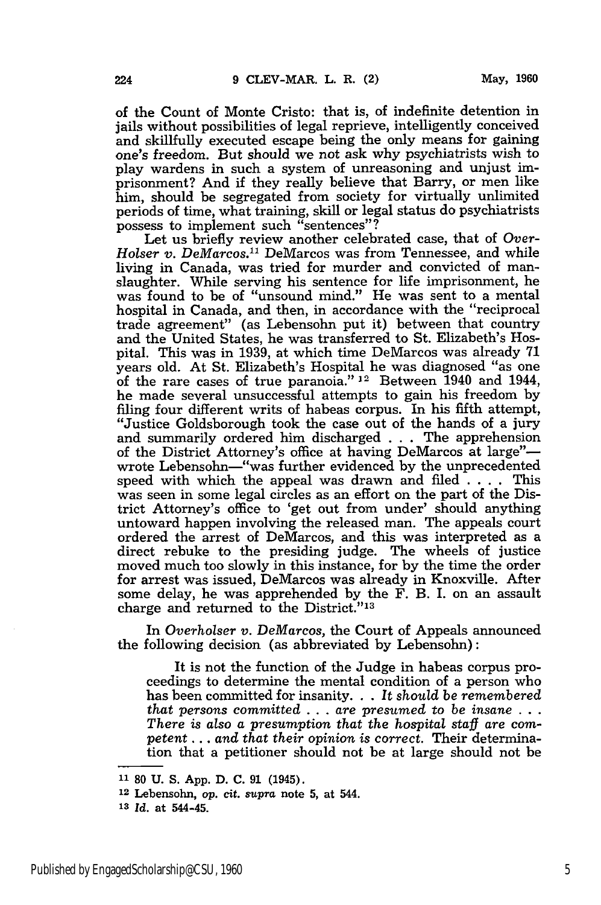of the Count of Monte Cristo: that is, of indefinite detention in jails without possibilities of legal reprieve, intelligently conceived and skillfully executed escape being the only means for gaining one's freedom. But should we not ask why psychiatrists wish to play wardens in such a system of unreasoning and unjust imprisonment? And if they really believe that Barry, or men like him, should be segregated from society for virtually unlimited periods of time, what training, skill or legal status do psychiatrists possess to implement such "sentences"?

Let us briefly review another celebrated case, that of Over-*Holser v. DeMarcos.11* DeMarcos was from Tennessee, and while living in Canada, was tried for murder and convicted of manslaughter. While serving his sentence for life imprisonment, he was found to be of "unsound mind." He was sent to a mental hospital in Canada, and then, in accordance with the "reciprocal trade agreement" (as Lebensohn put it) between that country and the United States, he was transferred to St. Elizabeth's Hospital. This was in 1939, at which time DeMarcos was already 71 years old. At St. Elizabeth's Hospital he was diagnosed "as one of the rare cases of true paranoia." 12 Between 1940 and 1944, he made several unsuccessful attempts to gain his freedom by filing four different writs of habeas corpus. In his fifth attempt, "Justice Goldsborough took the case out of the hands of a jury and summarily ordered him discharged **. . .** The apprehension of the District Attorney's office at having DeMarcos at large"wrote Lebensohn-"was further evidenced by the unprecedented speed with which the appeal was drawn and filed .... This was seen in some legal circles as an effort on the part of the District Attorney's office to 'get out from under' should anything untoward happen involving the released man. The appeals court ordered the arrest of DeMarcos, and this was interpreted as a direct rebuke to the presiding judge. The wheels of justice moved much too slowly in this instance, for **by** the time the order for arrest was issued, DeMarcos was already in Knoxville. After some delay, he was apprehended by the F. B. I. on an assault charge and returned to the District."<sup>13</sup>

In Overholser v. DeMarcos, the Court of Appeals announced the following decision (as abbreviated by Lebensohn):

It is not the function of the Judge in habeas corpus proceedings to determine the mental condition of a person who has been committed for insanity... *It should be remembered that persons committed* .. . *are presumed* to *be insane . . . There is also a presumption that the hospital staff are competent ... and that their opinion is correct.* Their determination that a petitioner should not be at large should not be

**<sup>12</sup>**Lebensohn, *op.* **cit.** *supra* note **5,** at 544.

**<sup>11 80</sup> U. S. App. D. C. 91** (1945).

**<sup>13</sup>***Id.* at 544-45.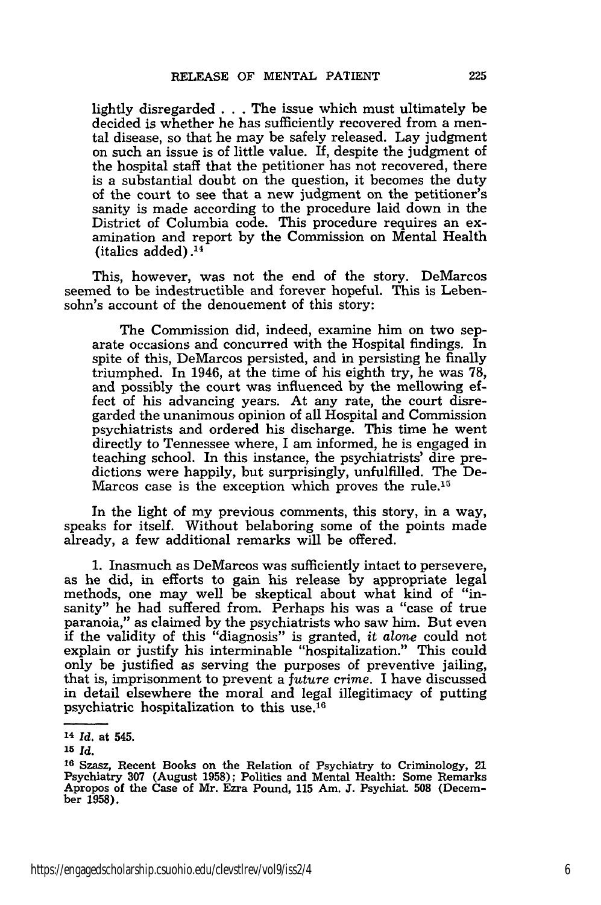lightly disregarded . . . The issue which must ultimately be decided is whether he has sufficiently recovered from a mental disease, so that he may be safely released. Lay judgment on such an issue is of little value. If, despite the judgment of the hospital staff that the petitioner has not recovered, there is a substantial doubt on the question, it becomes the duty of the court to see that a new judgment on the petitioner's sanity is made according to the procedure laid down in the District of Columbia code. This procedure requires an examination and report by the Commission on Mental Health (italics added) .14

This, however, was not the end of the story. DeMarcos seemed to be indestructible and forever hopeful. This is Lebensohn's account of the denouement of this story:

The Commission did, indeed, examine him on two separate occasions and concurred with the Hospital findings. In spite of this, DeMarcos persisted, and in persisting he finally triumphed. In 1946, at the time of his eighth try, he was 78, and possibly the court was influenced by the mellowing effect of his advancing years. At any rate, the court disregarded the unanimous opinion of all Hospital and Commission psychiatrists and ordered his discharge. This time he went directly to Tennessee where, I am informed, he is engaged in teaching school. In this instance, the psychiatrists' dire predictions were happily, but surprisingly, unfulfilled. The De-Marcos case is the exception which proves the rule.15

In the light of my previous comments, this story, in a way, speaks for itself. Without belaboring some of the points made already, a few additional remarks will be offered.

1. Inasmuch as DeMarcos was sufficiently intact to persevere, as he did, in efforts to gain his release by appropriate legal methods, one may well be skeptical about what kind of "insanity" he had suffered from. Perhaps his was a "case of true paranoia," as claimed by the psychiatrists who saw him. But even if the validity of this "diagnosis" is granted, *it alone* could not explain or justify his interminable "hospitalization." This could only be justified as serving the purposes of preventive jailing, that is, imprisonment to prevent a *future* crime. I have discussed in detail elsewhere the moral and legal illegitimacy of putting psychiatric hospitalization to this use.<sup>16</sup>

**<sup>14</sup>***Id.* at 545.

**<sup>15</sup>** *Id.*

**<sup>16</sup>**Szasz, Recent Books on the Relation of Psychiatry to Criminology, 21 Psychiatry 307 (August 1958); Politics and Mental Health: Some Remarks Apropos of the Case of Mr. Ezra Pound, **115** Am. J. Psychiat. **508** (December 1958).